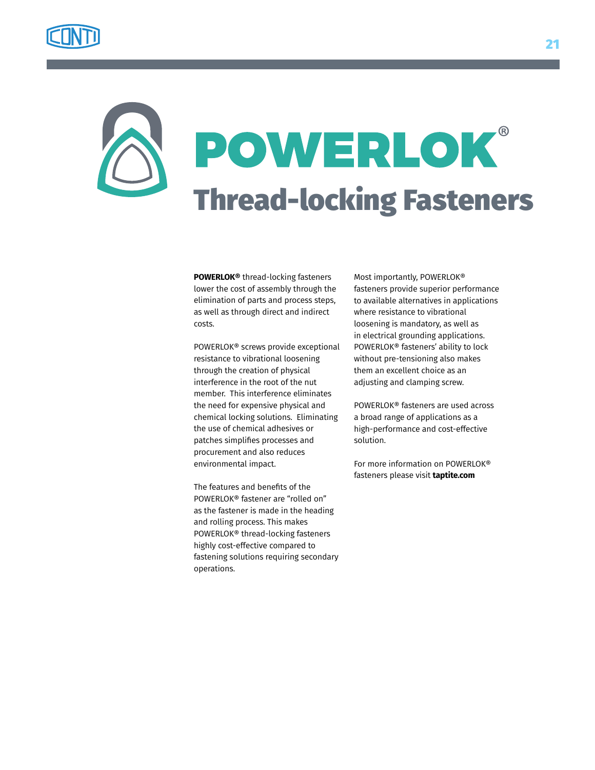

## POWERLOK® Thread-locking Fasteners

**POWERLOK®** thread-locking fasteners lower the cost of assembly through the elimination of parts and process steps, as well as through direct and indirect costs.

POWERLOK® screws provide exceptional resistance to vibrational loosening through the creation of physical interference in the root of the nut member. This interference eliminates the need for expensive physical and chemical locking solutions. Eliminating the use of chemical adhesives or patches simplifies processes and procurement and also reduces environmental impact.

The features and benefits of the POWERLOK® fastener are "rolled on" as the fastener is made in the heading and rolling process. This makes POWERLOK® thread-locking fasteners highly cost-effective compared to fastening solutions requiring secondary operations.

Most importantly, POWERLOK® fasteners provide superior performance to available alternatives in applications where resistance to vibrational loosening is mandatory, as well as in electrical grounding applications. POWERLOK® fasteners' ability to lock without pre-tensioning also makes them an excellent choice as an adjusting and clamping screw.

POWERLOK® fasteners are used across a broad range of applications as a high-performance and cost-effective solution.

For more information on POWERLOK® fasteners please visit **taptite.com**